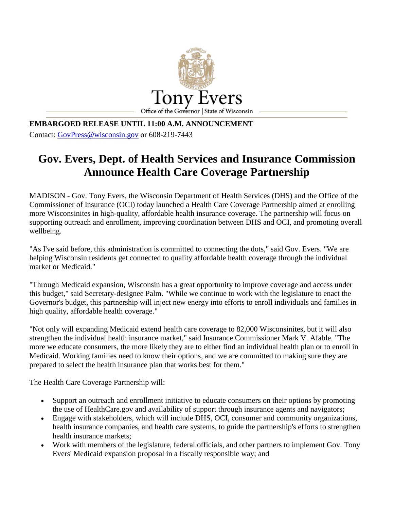

## **EMBARGOED RELEASE UNTIL 11:00 A.M. ANNOUNCEMENT**

Contact: [GovPress@wisconsin.gov](mailto:GovPress@wisconsin.gov) or 608-219-7443

## **Gov. Evers, Dept. of Health Services and Insurance Commission Announce Health Care Coverage Partnership**

MADISON - Gov. Tony Evers, the Wisconsin Department of Health Services (DHS) and the Office of the Commissioner of Insurance (OCI) today launched a Health Care Coverage Partnership aimed at enrolling more Wisconsinites in high-quality, affordable health insurance coverage. The partnership will focus on supporting outreach and enrollment, improving coordination between DHS and OCI, and promoting overall wellbeing.

"As I've said before, this administration is committed to connecting the dots," said Gov. Evers. "We are helping Wisconsin residents get connected to quality affordable health coverage through the individual market or Medicaid."

"Through Medicaid expansion, Wisconsin has a great opportunity to improve coverage and access under this budget," said Secretary-designee Palm. "While we continue to work with the legislature to enact the Governor's budget, this partnership will inject new energy into efforts to enroll individuals and families in high quality, affordable health coverage."

"Not only will expanding Medicaid extend health care coverage to 82,000 Wisconsinites, but it will also strengthen the individual health insurance market," said Insurance Commissioner Mark V. Afable. "The more we educate consumers, the more likely they are to either find an individual health plan or to enroll in Medicaid. Working families need to know their options, and we are committed to making sure they are prepared to select the health insurance plan that works best for them."

The Health Care Coverage Partnership will:

- Support an outreach and enrollment initiative to educate consumers on their options by promoting the use of HealthCare.gov and availability of support through insurance agents and navigators;
- Engage with stakeholders, which will include DHS, OCI, consumer and community organizations, health insurance companies, and health care systems, to guide the partnership's efforts to strengthen health insurance markets;
- Work with members of the legislature, federal officials, and other partners to implement Gov. Tony Evers' Medicaid expansion proposal in a fiscally responsible way; and